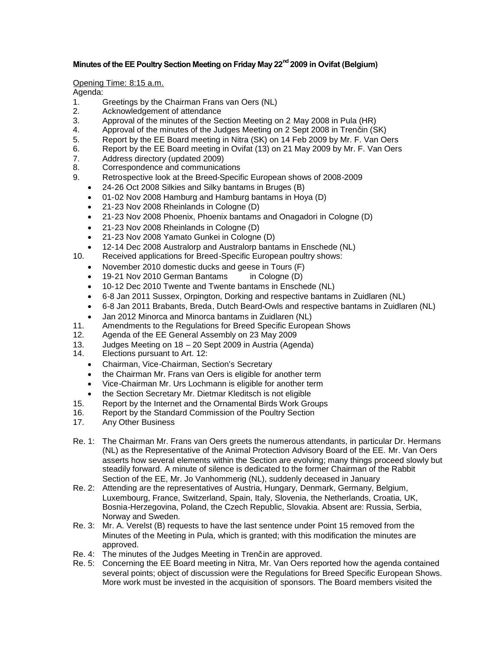## **Minutes of the EE Poultry Section Meeting on Friday May 22nd 2009 in Ovifat (Belgium)**

## Opening Time: 8:15 a.m.

Agenda:

- 1. Greetings by the Chairman Frans van Oers (NL)
- 2. Acknowledgement of attendance
- 3. Approval of the minutes of the Section Meeting on 2 May 2008 in Pula (HR)
- 4. Approval of the minutes of the Judges Meeting on 2 Sept 2008 in Trenčin (SK)
- 5. Report by the EE Board meeting in Nitra (SK) on 14 Feb 2009 by Mr. F. Van Oers
- 6. Report by the EE Board meeting in Ovifat (13) on 21 May 2009 by Mr. F. Van Oers
- 7. Address directory (updated 2009)
- Correspondence and communications
- 9. Retrospective look at the Breed-Specific European shows of 2008-2009
	- 24-26 Oct 2008 Silkies and Silky bantams in Bruges (B)
	- 01-02 Nov 2008 Hamburg and Hamburg bantams in Hoya (D)
	- 21-23 Nov 2008 Rheinlands in Cologne (D)
	- 21-23 Nov 2008 Phoenix, Phoenix bantams and Onagadori in Cologne (D)
	- 21-23 Nov 2008 Rheinlands in Cologne (D)
	- 21-23 Nov 2008 Yamato Gunkei in Cologne (D)
	- 12-14 Dec 2008 Australorp and Australorp bantams in Enschede (NL)
- 10. Received applications for Breed-Specific European poultry shows:
	- November 2010 domestic ducks and geese in Tours (F)
	- 19-21 Nov 2010 German Bantams in Cologne (D)
	- 10-12 Dec 2010 Twente and Twente bantams in Enschede (NL)
	- 6-8 Jan 2011 Sussex, Orpington, Dorking and respective bantams in Zuidlaren (NL)
	- 6-8 Jan 2011 Brabants, Breda, Dutch Beard-Owls and respective bantams in Zuidlaren (NL)
	- Jan 2012 Minorca and Minorca bantams in Zuidlaren (NL)
- 11. Amendments to the Regulations for Breed Specific European Shows
- 12. Agenda of the EE General Assembly on 23 May 2009
- 13. Judges Meeting on 18 20 Sept 2009 in Austria (Agenda)
- 14. Elections pursuant to Art. 12:
	- Chairman, Vice-Chairman, Section's Secretary
	- the Chairman Mr. Frans van Oers is eligible for another term
	- Vice-Chairman Mr. Urs Lochmann is eligible for another term
	- the Section Secretary Mr. Dietmar Kleditsch is not eligible
- 15. Report by the Internet and the Ornamental Birds Work Groups
- 16. Report by the Standard Commission of the Poultry Section
- 17. Any Other Business
- Re. 1: The Chairman Mr. Frans van Oers greets the numerous attendants, in particular Dr. Hermans (NL) as the Representative of the Animal Protection Advisory Board of the EE. Mr. Van Oers asserts how several elements within the Section are evolving; many things proceed slowly but steadily forward. A minute of silence is dedicated to the former Chairman of the Rabbit Section of the EE, Mr. Jo Vanhommerig (NL), suddenly deceased in January
- Re. 2: Attending are the representatives of Austria, Hungary, Denmark, Germany, Belgium, Luxembourg, France, Switzerland, Spain, Italy, Slovenia, the Netherlands, Croatia, UK, Bosnia-Herzegovina, Poland, the Czech Republic, Slovakia. Absent are: Russia, Serbia, Norway and Sweden.
- Re. 3: Mr. A. Verelst (B) requests to have the last sentence under Point 15 removed from the Minutes of the Meeting in Pula, which is granted; with this modification the minutes are approved.
- Re. 4: The minutes of the Judges Meeting in Trenčin are approved.
- Re. 5: Concerning the EE Board meeting in Nitra, Mr. Van Oers reported how the agenda contained several points; object of discussion were the Regulations for Breed Specific European Shows. More work must be invested in the acquisition of sponsors. The Board members visited the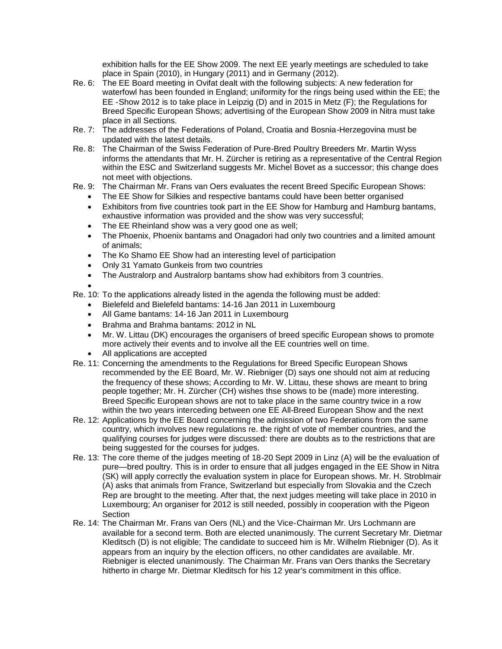exhibition halls for the EE Show 2009. The next EE yearly meetings are scheduled to take place in Spain (2010), in Hungary (2011) and in Germany (2012).

- Re. 6: The EE Board meeting in Ovifat dealt with the following subjects: A new federation for waterfowl has been founded in England; uniformity for the rings being used within the EE; the EE -Show 2012 is to take place in Leipzig (D) and in 2015 in Metz (F); the Regulations for Breed Specific European Shows; advertising of the European Show 2009 in Nitra must take place in all Sections.
- Re. 7: The addresses of the Federations of Poland, Croatia and Bosnia-Herzegovina must be updated with the latest details.
- Re. 8: The Chairman of the Swiss Federation of Pure-Bred Poultry Breeders Mr. Martin Wyss informs the attendants that Mr. H. Zürcher is retiring as a representative of the Central Region within the ESC and Switzerland suggests Mr. Michel Bovet as a successor; this change does not meet with objections.
- Re. 9: The Chairman Mr. Frans van Oers evaluates the recent Breed Specific European Shows:
	- The EE Show for Silkies and respective bantams could have been better organised
	- Exhibitors from five countries took part in the EE Show for Hamburg and Hamburg bantams, exhaustive information was provided and the show was very successful;
	- The EE Rheinland show was a very good one as well;
	- The Phoenix, Phoenix bantams and Onagadori had only two countries and a limited amount of animals;
	- The Ko Shamo EE Show had an interesting level of participation
	- Only 31 Yamato Gunkeis from two countries
	- The Australorp and Australorp bantams show had exhibitors from 3 countries.
- 

 $\bullet$ 

- Re. 10: To the applications already listed in the agenda the following must be added:
	- Bielefeld and Bielefeld bantams: 14-16 Jan 2011 in Luxembourg
	- All Game bantams: 14-16 Jan 2011 in Luxembourg
	- Brahma and Brahma bantams: 2012 in NL
	- Mr. W. Littau (DK) encourages the organisers of breed specific European shows to promote more actively their events and to involve all the EE countries well on time.
	- All applications are accepted
- Re. 11: Concerning the amendments to the Regulations for Breed Specific European Shows recommended by the EE Board, Mr. W. Riebniger (D) says one should not aim at reducing the frequency of these shows; According to Mr. W. Littau, these shows are meant to bring people together; Mr. H. Zürcher (CH) wishes thse shows to be (made) more interesting. Breed Specific European shows are not to take place in the same country twice in a row within the two years interceding between one EE All-Breed European Show and the next
- Re. 12: Applications by the EE Board concerning the admission of two Federations from the same country, which involves new regulations re. the right of vote of member countries, and the qualifying courses for judges were discussed: there are doubts as to the restrictions that are being suggested for the courses for judges.
- Re. 13: The core theme of the judges meeting of 18-20 Sept 2009 in Linz (A) will be the evaluation of pure—bred poultry. This is in order to ensure that all judges engaged in the EE Show in Nitra (SK) will apply correctly the evaluation system in place for European shows. Mr. H. Stroblmair (A) asks that animals from France, Switzerland but especially from Slovakia and the Czech Rep are brought to the meeting. After that, the next judges meeting will take place in 2010 in Luxembourg; An organiser for 2012 is still needed, possibly in cooperation with the Pigeon **Section**
- Re. 14: The Chairman Mr. Frans van Oers (NL) and the Vice-Chairman Mr. Urs Lochmann are available for a second term. Both are elected unanimously. The current Secretary Mr. Dietmar Kleditsch (D) is not eligible; The candidate to succeed him is Mr. Wilhelm Riebniger (D). As it appears from an inquiry by the election officers, no other candidates are available. Mr. Riebniger is elected unanimously. The Chairman Mr. Frans van Oers thanks the Secretary hitherto in charge Mr. Dietmar Kleditsch for his 12 year's commitment in this office.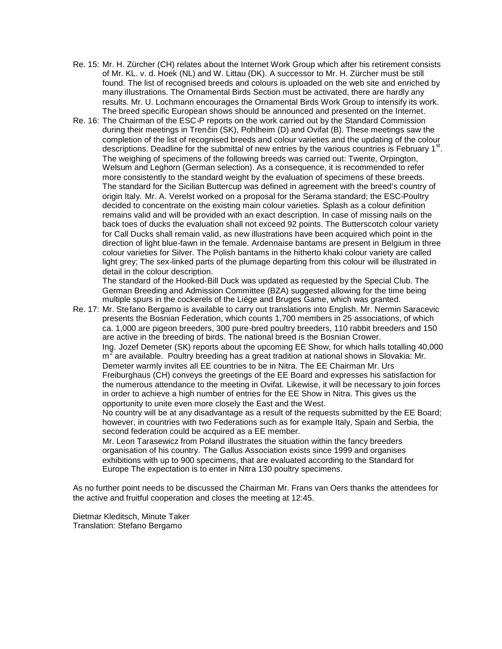- Re. 15: Mr. H. Zürcher (CH) relates about the Internet Work Group which after his retirement consists of Mr. KL. v. d. Hoek (NL) and W. Littau (DK). A successor to Mr. H. Zürcher must be still found. The list of recognised breeds and colours is uploaded on the web site and enriched by many illustrations. The Ornamental Birds Section must be activated, there are hardly any results. Mr. U. Lochmann encourages the Ornamental Birds Work Group to intensify its work. The breed specific European shows should be announced and presented on the Internet.
- Re. 16: The Chairman of the ESC-P reports on the work carried out by the Standard Commission during their meetings in Trenčin (SK), Pohlheim (D) and Ovifat (B). These meetings saw the completion of the list of recognised breeds and colour varieties and the updating of the colour descriptions. Deadline for the submittal of new entries by the various countries is February 1<sup>st</sup>. The weighing of specimens of the following breeds was carried out: Twente, Orpington, Welsum and Leghorn (German selection). As a consequence, it is recommended to refer more consistently to the standard weight by the evaluation of specimens of these breeds. The standard for the Sicilian Buttercup was defined in agreement with the breed's country of origin Italy. Mr. A. Verelst worked on a proposal for the Serama standard; the ESC-Poultry decided to concentrate on the existing main colour varieties. Splash as a colour definition remains valid and will be provided with an exact description. In case of missing nails on the back toes of ducks the evaluation shall not exceed 92 points. The Butterscotch colour variety for Call Ducks shall remain valid, as new illustrations have been acquired which point in the direction of light blue-fawn in the female. Ardennaise bantams are present in Belgium in three colour varieties for Silver. The Polish bantams in the hitherto khaki colour variety are called light grey; The sex-linked parts of the plumage departing from this colour will be illustrated in detail in the colour description.

The standard of the Hooked-Bill Duck was updated as requested by the Special Club. The German Breeding and Admission Committee (BZA) suggested allowing for the time being multiple spurs in the cockerels of the Liége and Bruges Game, which was granted.

Re. 17: Mr. Stefano Bergamo is available to carry out translations into English. Mr. Nermin Saracevic presents the Bosnian Federation, which counts 1,700 members in 25 associations, of which ca. 1,000 are pigeon breeders, 300 pure-bred poultry breeders, 110 rabbit breeders and 150 are active in the breeding of birds. The national breed is the Bosnian Crower. Ing. Jozef Demeter (SK) reports about the upcoming EE Show, for which halls totalling 40,000  $\textsf{m}^{\textsf{Z}}$  are available. Poultry breeding has a great tradition at national shows in Slovakia: Mr.  $\dot{\phantom{a}}$ Demeter warmly invites all EE countries to be in Nitra. The EE Chairman Mr. Urs Freiburghaus (CH) conveys the greetings of the EE Board and expresses his satisfaction for the numerous attendance to the meeting in Ovifat. Likewise, it will be necessary to join forces in order to achieve a high number of entries for the EE Show in Nitra. This gives us the opportunity to unite even more closely the East and the West. No country will be at any disadvantage as a result of the requests submitted by the EE Board;

however, in countries with two Federations such as for example Italy, Spain and Serbia, the second federation could be acquired as a EE member.

Mr. Leon Tarasewicz from Poland illustrates the situation within the fancy breeders organisation of his country. The Gallus Association exists since 1999 and organises exhibitions with up to 900 specimens, that are evaluated according to the Standard for Europe The expectation is to enter in Nitra 130 poultry specimens.

As no further point needs to be discussed the Chairman Mr. Frans van Oers thanks the attendees for the active and fruitful cooperation and closes the meeting at 12:45.

Dietmar Kleditsch, Minute Taker Translation: Stefano Bergamo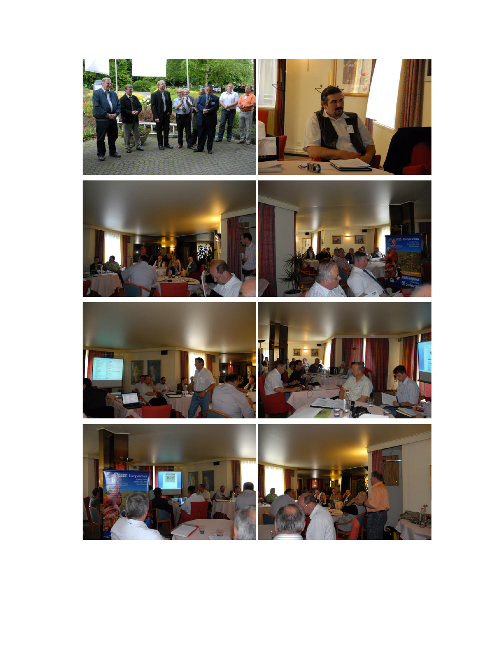